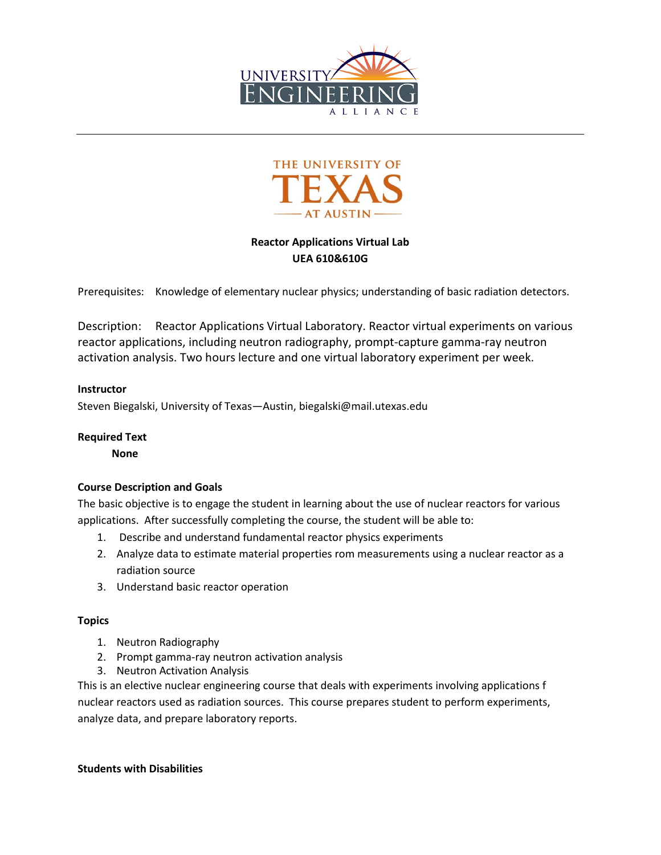



# **Reactor Applications Virtual Lab UEA 610&610G**

Prerequisites: Knowledge of elementary nuclear physics; understanding of basic radiation detectors.

Description: Reactor Applications Virtual Laboratory. Reactor virtual experiments on various reactor applications, including neutron radiography, prompt-capture gamma-ray neutron activation analysis. Two hours lecture and one virtual laboratory experiment per week.

## **Instructor**

Steven Biegalski, University of Texas—Austin, biegalski@mail.utexas.edu

### **Required Text**

**None**

## **Course Description and Goals**

The basic objective is to engage the student in learning about the use of nuclear reactors for various applications. After successfully completing the course, the student will be able to:

- 1. Describe and understand fundamental reactor physics experiments
- 2. Analyze data to estimate material properties rom measurements using a nuclear reactor as a radiation source
- 3. Understand basic reactor operation

### **Topics**

- 1. Neutron Radiography
- 2. Prompt gamma-ray neutron activation analysis
- 3. Neutron Activation Analysis

This is an elective nuclear engineering course that deals with experiments involving applications f nuclear reactors used as radiation sources. This course prepares student to perform experiments, analyze data, and prepare laboratory reports.

### **Students with Disabilities**